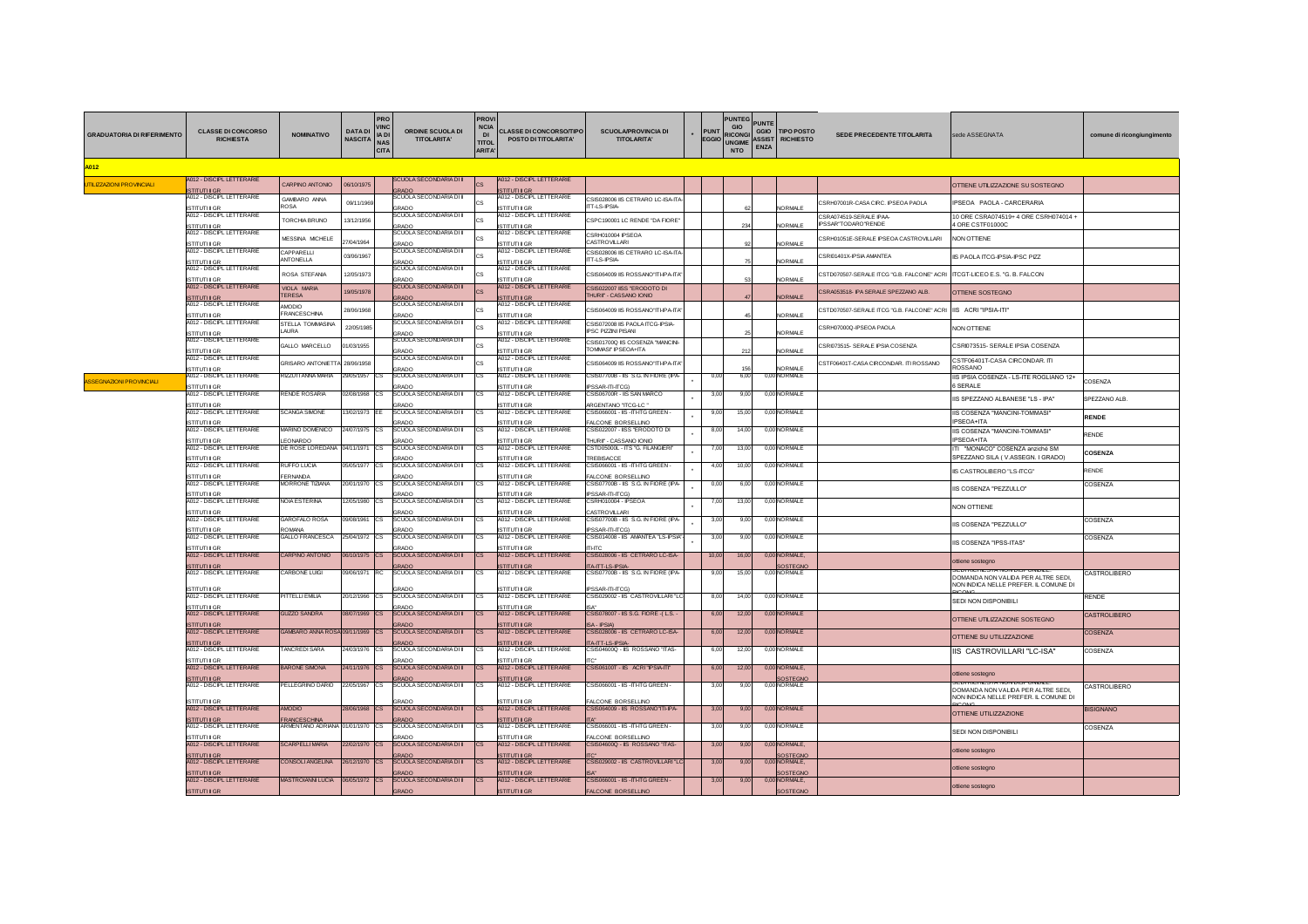| <b>GRADUATORIA DI RIFERIMENTO</b> | <b>CLASSE DI CONCORSO</b><br><b>RICHIESTA</b>                                | <b>NOMINATIVO</b>                   | <b>DATA DI</b><br>NASCITA NAS | PRO<br><b>VINC</b><br>IA DI<br><b>CITA</b> | ORDINE SCUOLA DI<br><b>TITOLARITA'</b>         | <b>PROVI</b><br><b>NCIA</b><br>DI<br><b>TITOL</b><br><b>ARITA'</b> | <b>CLASSE DI CONCORSO/TIPC</b><br>POSTO DI TITOLARITA'    | <b>SCUOLA/PROVINCIA DI</b><br><b>TITOLARITA'</b>               |  | <b>PUNT</b><br><b>EGGIO</b> | <b>PUNTEG</b><br><b>GIO</b><br><b>RICONGI</b><br><b>UNGIME</b><br><b>NTO</b> | <b>PUNTE</b><br><b>TIPO POSTO</b><br>GGIO<br><b>ASSIST</b><br><b>RICHIESTO</b><br>ENZA | SEDE PRECEDENTE TITOLARITà                    | sede ASSEGNATA                                                         | comune di ricongiungimento |
|-----------------------------------|------------------------------------------------------------------------------|-------------------------------------|-------------------------------|--------------------------------------------|------------------------------------------------|--------------------------------------------------------------------|-----------------------------------------------------------|----------------------------------------------------------------|--|-----------------------------|------------------------------------------------------------------------------|----------------------------------------------------------------------------------------|-----------------------------------------------|------------------------------------------------------------------------|----------------------------|
| A012                              |                                                                              |                                     |                               |                                            |                                                |                                                                    |                                                           |                                                                |  |                             |                                                                              |                                                                                        |                                               |                                                                        |                            |
| <b>JTILIZZAZIONI PROVINCIALI</b>  | A012 - DISCIPL LETTERARIE<br><b>ISTITUTI II GR</b>                           | CARPINO ANTONIO                     | 06/10/1975                    |                                            | <b>SCUOLA SECONDARIA DI II</b><br><b>GRADO</b> | <b>CS</b>                                                          | A012 - DISCIPL LETTERARIE<br><b>ISTITUTI II GR</b>        |                                                                |  |                             |                                                                              |                                                                                        |                                               | OTTIENE UTILIZZAZIONE SU SOSTEGNO                                      |                            |
|                                   | A012 - DISCIPL LETTERARIE                                                    | GAMBARO ANNA<br><b>ROSA</b>         | 09/11/1969                    |                                            | <b>SCUOLA SECONDARIA DI II</b><br>GRADO        |                                                                    | 4012 - DISCIPL LETTERARIE<br><b>ISTITUTI II GF</b>        | CSIS028006 IS CETRARO LC-ISA-ITA<br>TT-LS-IPSIA-               |  |                             |                                                                              | <b>NORMALE</b>                                                                         | CSRH07001R-CASA CIRC. IPSEOA PAOLA            | PSEOA PAOLA - CARCERARIA                                               |                            |
|                                   | <b>ISTITUTI II GR<br/>A012 - DISCIPL LETTERARIE</b><br><b>ISTITUTI II GR</b> | <b>TORCHIA BRUNO</b>                | 13/12/1956                    |                                            | SCUOLA SECONDARIA DI II<br><b>SRADO</b>        |                                                                    | A012 - DISCIPL LETTERARIE<br>STITUTI II GR                | SPC190001 LC RENDE "DA FIORE"                                  |  |                             | 2:                                                                           | VORMALE                                                                                | CSRA074519-SERALE IPAA<br>IPSSAR'TODARO'RENDE | 10 ORE CSRA074519+ 4 ORE CSRH074014 +<br>4 ORE CSTF01000C              |                            |
|                                   | A012 - DISCIPL LETTERARIE<br><b>ISTITUTI II GR</b>                           | <b><i>MESSINA MICHELE</i></b>       | 27/04/1964                    |                                            | <b>SCUOLA SECONDARIA DI II</b><br>GRADO        |                                                                    | A012 - DISCIPL LETTERARIE<br><b>STITUTI II GR</b>         | SRH010004 IPSEOA<br>CASTROVILLARI                              |  |                             |                                                                              | <b>NORMALE</b>                                                                         | CSRH01051E-SERALE IPSEOA CASTROVILLARI        | <b>NON OTTIENE</b>                                                     |                            |
|                                   | A012 - DISCIPL LETTERARIE<br><b>ISTITUTI II GR</b>                           | CAPPARELLI<br><b>ANTONELLA</b>      | 03/06/1967                    |                                            | SCUOLA SECONDARIA DI II<br>GRADO               |                                                                    | A012 - DISCIPL LETTERARIE<br><b>STITLITLICR</b>           | CSIS028006 IIS CETRARO LC-ISA-ITA-<br><b>ITT-LS-IPSIA</b>      |  |                             |                                                                              | NORMALE                                                                                | CSRI01401X-IPSIA AMANTEA                      | IS PAOLA ITCG-IPSIA-IPSC PIZZ                                          |                            |
|                                   | A012 - DISCIPL LETTERARIE                                                    | ROSA STEFANIA                       | 12/05/1973                    |                                            | SCUOLA SECONDARIA DI II<br><b>SRADO</b>        |                                                                    | A012 - DISCIPL LETTERARIE<br>STITUTULGR                   | SIS064009 IIS ROSSANO"ITI-IPA-ITA"                             |  |                             |                                                                              | NORMALE                                                                                | CSTD070507-SERALE ITCG "G.B. FALCONE" ACRI    | ITCGT-LICEO E.S. "G. B. FALCON                                         |                            |
|                                   | ISTITUTI II GR.<br>A012 - DISCIPL LETTERARIE<br><b>ISTITUTI II GR</b>        | <b>VIOLA MARIA</b><br><b>TERESA</b> | 9/05/1978                     |                                            | <b>SCUOLA SECONDARIA DI II</b><br><b>GRADO</b> |                                                                    | <b>A012 - DISCIPL LETTERARIE</b><br><b>ISTITUTI II GR</b> | <b>CSIS022007 ISS "ERODOTO DI</b><br>THURII' - CASSANO IONIO   |  |                             |                                                                              | <b>NORMALE</b>                                                                         | CSRA053518- IPA SERALE SPEZZANO ALB           | <b>OTTIENE SOSTEGNO</b>                                                |                            |
|                                   | A012 - DISCIPL LETTERARIE<br><b>ISTITUTI II GR</b>                           | <b>OICOMA</b><br>FRANCESCHINA       | 28/06/1968                    |                                            | SCUOLA SECONDARIA DI II<br>GRADO               |                                                                    | A012 - DISCIPL LETTERARIE<br><b>ISTITUTI II GR</b>        | CSIS064009 IS ROSSANO"ITI-IPA-ITA"                             |  |                             |                                                                              | <b>NORMALE</b>                                                                         | CSTD070507-SERALE ITCG "G.B. FALCONE" ACRI    | <b>IIS ACRI "IPSIA-ITI"</b>                                            |                            |
|                                   | A012 - DISCIPL LETTERARIE                                                    | STELLA TOMMASINA<br>LAURA           | 22/05/1985                    |                                            | SCUOLA SECONDARIA DI II<br>GRADO               |                                                                    | A012 - DISCIPL LETTERARIE<br><b>ISTITUTI II GR</b>        | CSIS072008 IIS PAOLA ITCG-IPSIA-<br><b>IPSC PIZZINI PISANI</b> |  |                             |                                                                              | <b>NORMALE</b>                                                                         | CSRH07000Q-IPSEOA PAOLA                       | <b>NON OTTIENE</b>                                                     |                            |
|                                   | ISTITUTI II GR<br>A012 - DISCIPL LETTERARIE<br><b>ISTITUTI II GR</b>         | GALLO MARCELLO                      | 1/03/1955                     |                                            | SCUOLA SECONDARIA DI II<br><b>SRADO</b>        |                                                                    | A012 - DISCIPL LETTERARIE<br><b>ISTITUTI II GR</b>        | CSIS01700Q IIS COSENZA "MANCINI-<br>TOMMASI' IPSEOA+ITA        |  |                             | 21                                                                           | NORMALE                                                                                | CSRI073515- SERALE IPSIA COSENZA              | CSRI073515- SERALE IPSIA COSENZA                                       |                            |
|                                   | A012 - DISCIPL LETTERARIE<br><b>ISTITUTI II GR</b>                           | GRISARO ANTONIETTA                  | 28/06/1958                    |                                            | SCUOLA SECONDARIA DI II<br>GRADO               |                                                                    | A012 - DISCIPL LETTERARIE<br><b>ISTITUTI II GR</b>        | CSIS064009 IS ROSSANO"ITI-IPA-ITA                              |  |                             |                                                                              | <b>NORMALE</b>                                                                         | STF06401T-CASA CIRCONDAR. ITI ROSSANO         | CSTF06401T-CASA CIRCONDAR. ITI<br>ROSSANO                              |                            |
| <b>ISSEGNAZIONI PROVINCIALI</b>   | A012 - DISCIPL LETTERARIE<br><b>ISTITUTI II GR</b>                           | RIZZLITI ANNA MARIA                 | 29/05/1957 CS                 |                                            | SCUOLA SECONDARIA DI II<br><b>SRADO</b>        | lCS.                                                               | A012 - DISCIPL LETTERARIE<br>ISTITUTI II GR               | CSIS07700B - IIS S.G. IN FIORE (IPA-<br>SSAR-ITI-ITCG)         |  | 0.00                        | 6.00                                                                         | 0,00 NORMALE                                                                           |                                               | IIS IPSIA COSENZA - LS-ITE ROGLIANO 12+<br><b>SSERALE</b>              | COSENZA                    |
|                                   | 4012 - DISCIPL LETTERARIE                                                    | rende Rosaria                       | 2/08/1968 CS                  |                                            | SCUOLA SECONDARIA DI II<br><b>RADO</b>         |                                                                    | A012 - DISCIPL LETTERARIE<br><b>STITUTI II GR</b>         | SIS06700R - IIS SAN MARCO<br><b>IRGENTANO 'ITCG-LC</b>         |  | 3.0                         | 9,00                                                                         | 0,00 NORMALE                                                                           |                                               | IIS SPEZZANO ALBANESE "LS - IPA"                                       | SPEZZANO ALB.              |
|                                   | ISTITUTI II GR<br>A012 - DISCIPL LETTERARIE<br><b>ISTITUTI II GR</b>         | <b>SCANGA SIMONE</b>                | 3/02/1973                     |                                            | SCUOLA SECONDARIA DI II<br><b>SRADO</b>        |                                                                    | A012 - DISCIPL LETTERARIE<br><b>STITUTULGE</b>            | SIS066001 - IIS -ITI-ITG GREEN -<br>ALCONE BORSELLINO          |  | 9,0                         | 15,00                                                                        | 0,00 NORMALE                                                                           |                                               | IIS COSENZA "MANCINI-TOMMASI"<br>PSEOA+ITA                             | <b>RENDE</b>               |
|                                   | A012 - DISCIPL LETTERARIE<br><b>ISTITUTI II GR</b>                           | VARINO DOMENICO<br><b>FONARDO</b>   | 24/07/1975 CS                 |                                            | SCUOLA SECONDARIA DI II<br>RADO                |                                                                    | A012 - DISCIPL LETTERARIE<br><b>STITUTULGE</b>            | CSIS022007 - IISS "ERODOTO DI<br>HURII' - CASSANO IONIO        |  | 8,0                         | 14,00                                                                        | 0,00 NORMALE                                                                           |                                               | IS COSENZA "MANCINI-TOMMASI"<br>PSEOA+ITA                              | RENDE                      |
|                                   | A012 - DISCIPL LETTERARIE<br><b>ISTITUTI II GR</b>                           | DE ROSE LOREDANA 04/11/1971 CS      |                               |                                            | SCUOLA SECONDARIA DI II<br><b>RADO</b>         |                                                                    | A012 - DISCIPL LETTERARIE<br><b>TITUTULGE</b>             | CSTD05000L - ITS "G. FILANGIERI"<br>REBISACCE                  |  | 7,00                        | 13,00                                                                        | 0,00 NORMALE                                                                           |                                               | ITI "MONACO" COSENZA anziché SM<br>SPEZZANO SILA (V.ASSEGN. I GRADO)   | COSENZA                    |
|                                   | A012 - DISCIPL LETTERARIE<br><b>ISTITUTI II GF</b>                           | <b>RUFFO LUCIA</b><br>FERNANDA      | 05/05/1977                    |                                            | SCUOLA SECONDARIA DI II<br>GRADO               |                                                                    | A012 - DISCIPL LETTERARIE<br><b>TITUTI II GF</b>          | CSIS066001 - IIS -ITI-ITG GREEN -<br>ALCONE BORSELLINO         |  | 4.00                        | 10.00                                                                        | 0,00 NORMALE                                                                           |                                               | <b>IIS CASTROLIBERO "LS-ITCG"</b>                                      | RENDE                      |
|                                   | A012 - DISCIPL LETTERARIE<br><b>ISTITUTI II GR</b>                           | <b>MORRONE TIZIANA</b>              | 20/01/1970 CS                 |                                            | SCUOLA SECONDARIA DI II<br>RADO                | <b>CS</b>                                                          | A012 - DISCIPL LETTERARIE<br>STITUTI II GF                | CSIS07700B - IIS S.G. IN FIORE (IPA-<br>SSAR-ITI-ITCC          |  | 0.0                         | 6.00                                                                         | 0,00 NORMALE                                                                           |                                               | IIS COSENZA "PEZZULLO"                                                 | COSENZA                    |
|                                   | A012 - DISCIPL LETTERARIE<br><b>ISTITUTI II GR</b>                           | <b>NOIA ESTERINA</b>                | 2/05/1980 CS                  |                                            | SCUOLA SECONDARIA DI II<br>GRADO               | <b>CS</b>                                                          | A012 - DISCIPL LETTERARIE<br>STITUTU GE                   | CSRH010004 - IPSEOA<br>CASTROVILLARI                           |  |                             | 13.00                                                                        | 0.00 NORMALE                                                                           |                                               | <b>NON OTTIENE</b>                                                     |                            |
|                                   | A012 - DISCIPL LETTERARIE                                                    | GAROFALO ROSA                       | 09/08/1961 CS                 |                                            | SCUOLA SECONDARIA DI II<br>GRADO               | <b>CS</b>                                                          | A012 - DISCIPL LETTERARIE<br>STITUTI II GF                | CSIS07700B - IIS S.G. IN FIORE (IPA-<br>PSSAR-ITI-ITCG)        |  | 3,00                        | 9,00                                                                         | 0,00 NORMALE                                                                           |                                               | IIS COSENZA "PEZZULLO"                                                 | COSENZA                    |
|                                   | ISTITUTI II GR<br>A012 - DISCIPL LETTERARIE<br><b>ISTITUTI II GR</b>         | ROMANA<br>GALLO FRANCESCA           | 25/04/1972 C.S.               |                                            | SCUOLA SECONDARIA DI IL<br><b>RADO</b>         |                                                                    | A012 - DISCIPI I FTTERARIE<br>STITUTU GR                  | CSIS014008 - IIS AMANTEA "LS-IPSIA"<br><b>ITI-ITC</b>          |  | 300                         | 9.00                                                                         | 0.00 NORMALE                                                                           |                                               | IS COSENZA "IPSS-ITAS"                                                 | COSENZA                    |
|                                   | A012 - DISCIPL LETTERARIE<br><b>ISTITUTI II</b> GR                           | <b>CARPINO ANTONIO</b>              | 06/10/1975 CS                 |                                            | <b>SCUOLA SECONDARIA DI II</b><br><b>GRADO</b> |                                                                    | <b>A012 - DISCIPL LETTERARIE</b><br><b>ISTITUTI II GR</b> | CSIS028006 - IIS CETRARO LC-ISA-<br><b>TA-ITT-LS-IPSIA</b>     |  | 10.00                       | 16.00                                                                        | 0.00 NORMALE.<br>SOSTEGNO                                                              |                                               | ottiene sostegno                                                       |                            |
|                                   | A012 - DISCIPL LETTERARIE                                                    | CARBONE LUIGI                       | 09/06/1971                    | IRC.                                       | SCUOLA SECONDARIA DI II                        |                                                                    | A012 - DISCIPL LETTERARIE                                 | CSIS07700B - IIS S.G. IN FIORE (IPA-                           |  | 9.00                        | 15.00                                                                        | 0.00 NORMALE                                                                           |                                               | DOMANDA NON VALIDA PER ALTRE SEDI,                                     | CASTROLIBERO               |
|                                   | <b>ISTITUTI II GR</b><br>A012 - DISCIPL LETTERARIE                           | <b>ITTELLI EMILIA</b>               | 20/12/1966 CS                 |                                            | <b>RADO</b><br>SCUOLA SECONDARIA DI II         |                                                                    | <b>STITUTI II GF</b><br>A012 - DISCIPL LETTERARIE         | <b>PSSAR-ITI-ITCG</b><br>CSIS029002 - IIS CASTROVILLARI "LC    |  | 8.00                        | 14.00                                                                        | 0.00 NORMALE                                                                           |                                               | NON INDICA NELLE PREFER. IL COMUNE DI<br>SEDI NON DISPONIBILI          | <b>RENDE</b>               |
|                                   | <b>ISTITUTI II GR</b><br><b>A012 - DISCIPL LETTERARIE</b>                    | <b>GUZZO SANDRA</b>                 | 08/07/1969 CS                 |                                            | <b>SCUOLA SECONDARIA DI II</b>                 |                                                                    | <b>TITUTULGI</b><br><b>A012 - DISCIPL LETTERARIE</b>      | CSIS078007 - IIS S.G. FIORE -(L.S. -                           |  | 6.00                        | 12.00                                                                        | 0.00 NORMALE                                                                           |                                               | OTTIENE UTILIZZAZIONE SOSTEGNO                                         | CASTROLIBERO               |
|                                   | <b>ISTITUTI II GR</b><br>A012 - DISCIPL LETTERARIE                           | GAMBARO ANNA ROSA 09/11/1969 CS     |                               |                                            | RADO<br><b>SCUOLA SECONDARIA DI II</b>         |                                                                    | STITUTI II GR<br>A012 - DISCIPL LETTERARIE                | <b>A-IPSIA</b><br>CSIS028006 - IIS CETRARO LC-ISA-             |  | 6,00                        | 12,00                                                                        | 0,00 NORMALE                                                                           |                                               | OTTIENE SU UTILIZZAZIONE                                               | COSENZA                    |
|                                   | <b>ISTITUTI II GR</b><br>A012 - DISCIPL LETTERARIE                           | <b>TANCREDI SARA</b>                | 24/03/1976 CS                 |                                            | <b>RADO</b><br>SCUOLA SECONDARIA DI II         |                                                                    | <b>STITUTI II GF</b><br>A012 - DISCIPL LETTERARIE         | TA-ITT-LS-IPSIA<br>CSIS04600Q - IIS ROSSANO 'ITAS-             |  | 6.0                         | 12,00                                                                        | 0,00 NORMALE                                                                           |                                               | IIS CASTROVILLARI "LC-ISA"                                             | COSENZA                    |
|                                   | <b>STITUTU GR</b><br><b>A012 - DISCIPL LETTERARIE</b>                        | <b>ARONE SIMONA</b>                 | 24/11/1976                    |                                            | GRADO<br><b>SCUOLA SECONDARIA DI II</b>        |                                                                    | <b>STITUTI II GE</b><br><b>A012 - DISCIPL LETTERARIE</b>  | CSIS06100T-IIS ACRI "IPSIA-IT                                  |  | 6.0                         | 12.00                                                                        | 0.00 NORMALE.                                                                          |                                               | ottiene sostegno                                                       |                            |
|                                   | <b>ISTITUTI II GR</b><br>A012 - DISCIPL LETTERARIE                           | PELLEGRINO DARIO                    | 22/05/1967                    |                                            | <b>GRADO</b><br>SCUOLA SECONDARIA DI II        |                                                                    | <b>STITUTI II GF</b><br>A012 - DISCIPL LETTERARIE         | CSIS066001 - IIS - ITI-ITG GREEN                               |  | 3,00                        | 9.00                                                                         | <b>SOSTEGNO</b><br>0,00 NORMALE                                                        |                                               | SEDI RICHIES I A NON DISPONIBILE<br>DOMANDA NON VALIDA PER ALTRE SEDI, | CASTROLIBERO               |
|                                   | <b>ISTITUTI II GR</b><br>A012 - DISCIPL LETTERARIE                           | <b>AMODIO</b>                       | 28/06/1968 CS                 |                                            | RADO<br><b>SCUOLA SECONDARIA DI II</b>         | <b>ICS</b>                                                         | <b>STITUTI II GR</b><br>A012 - DISCIPL LETTERARIE         | ALCONE BORSELLINO<br>CSIS064009 - IIS ROSSANO"ITI-IPA-         |  | 3.00                        | 9.00                                                                         | 0.00 NORMALE                                                                           |                                               | NON INDICA NELLE PREFER. IL COMUNE DI                                  | <b>BISIGNANO</b>           |
|                                   | ISTITUTI II GR<br>A012 - DISCIPL LETTERARIE                                  | FRANCESCHINA<br>ARMENTANO ADRIANA   | 01/01/1970 CS                 |                                            | GRADO<br><b>SCUOLA SECONDARIA DI II</b>        |                                                                    | <b>ISTITUTI II GR</b><br>A012 - DISCIPL LETTERARIE        | CSIS066001 - IIS - ITI-ITG GREEN -                             |  | 3.0                         | 9.00                                                                         | 0,00 NORMALE                                                                           |                                               | OTTIENE UTILIZZAZIONE                                                  | COSENZA                    |
|                                   | <b>ISTITUTI II GR</b><br>A012 - DISCIPL LETTERARIE                           | <b>SCARPELLIMARIA</b>               | 22/02/1970 CS                 |                                            | RADO<br><b>SCUOLA SECONDARIA DI II</b>         | Ics                                                                | <b>TITUTI II GR</b><br>A012 - DISCIPL LETTERARIE          | ALCONE BORSELLINO<br>CSIS04600Q - IIS ROSSANO 'ITAS-           |  | 3,00                        | 9,00                                                                         | 0,00 NORMALE,                                                                          |                                               | SEDI NON DISPONIBILI                                                   |                            |
|                                   | <b>ISTITUTI II GR</b><br>A012 - DISCIPL LETTERARIE                           | CONSOLIANGELINA                     | 26/12/1970 CS                 |                                            | <b>RADO</b><br><b>SCUOLA SECONDARIA DI II</b>  | <b>ICS</b>                                                         | <b>ISTITUTI II GR</b><br>A012 - DISCIPL LETTERARIE        | CSIS029002 - IIS CASTROVILLARL'I C                             |  | 3.00                        | 9.00                                                                         | SOSTEGNO<br>0.00 NORMALE.                                                              |                                               | ottiene sostegno                                                       |                            |
|                                   | <b>ISTITUTI II GR</b><br>A012 - DISCIPL LETTERARIE                           | <b>MASTROIANNI LUCIA</b>            | 06/05/1972 CS                 |                                            | RADO<br>SCUOLA SECONDARIA DI II                | ICS.                                                               | <b>ISTITUTI II GF</b><br>A012 - DISCIPL LETTERARIE        | CSIS066001 - IIS -ITI-ITG GREEN -                              |  | 3.00                        | 9,00                                                                         | SOSTEGNO<br>0,00 NORMALE,                                                              |                                               | ottiene sostegno                                                       |                            |
|                                   | <b>ISTITUTI II GR</b>                                                        |                                     |                               |                                            | GRADO                                          |                                                                    | <b>ISTITUTI II GR</b>                                     | FALCONE BORSELLINO                                             |  |                             |                                                                              | SOSTEGNO                                                                               |                                               | ottiene sostegno                                                       |                            |